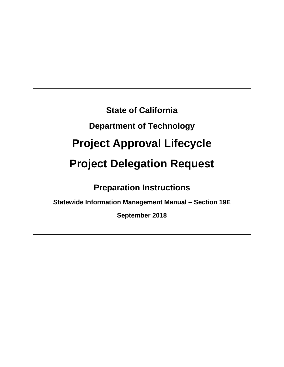**State of California Department of Technology Project Approval Lifecycle Project Delegation Request** 

**Preparation Instructions** 

**Statewide Information Management Manual – Section 19E** 

**September 2018**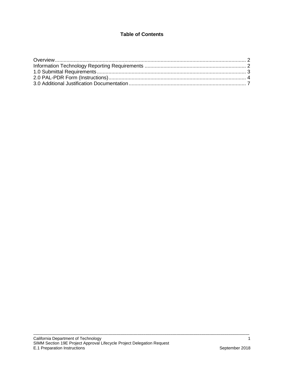# **Table of Contents**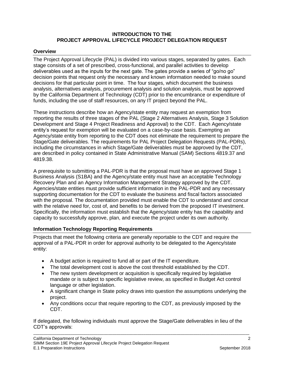#### **INTRODUCTION TO THE PROJECT APPROVAL LIFECYCLE PROJECT DELEGATION REQUEST**

#### <span id="page-2-0"></span>**Overview**

The Project Approval Lifecycle (PAL) is divided into various stages, separated by gates. Each stage consists of a set of prescribed, cross-functional, and parallel activities to develop deliverables used as the inputs for the next gate. The gates provide a series of "go/no go" decision points that request only the necessary and known information needed to make sound decisions for that particular point in time. The four stages, which document the business analysis, alternatives analysis, procurement analysis and solution analysis, must be approved by the California Department of Technology (CDT) prior to the encumbrance or expenditure of funds, including the use of staff resources, on any IT project beyond the PAL.

These instructions describe how an Agency/state entity may request an exemption from reporting the results of three stages of the PAL (Stage 2 Alternatives Analysis, Stage 3 Solution Development and Stage 4 Project Readiness and Approval) to the CDT. Each Agency/state entity's request for exemption will be evaluated on a case-by-case basis. Exempting an Agency/state entity from reporting to the CDT does not eliminate the requirement to prepare the Stage/Gate deliverables. The requirements for PAL Project Delegation Requests (PAL-PDRs), including the circumstances in which Stage/Gate deliverables must be approved by the CDT, are described in policy contained in State Administrative Manual (SAM) Sections 4819.37 and 4819.38.

A prerequisite to submitting a PAL-PDR is that the proposal must have an approved Stage 1 Business Analysis (S1BA) and the Agency/state entity must have an acceptable Technology Recovery Plan and an Agency Information Management Strategy approved by the CDT. Agencies/state entities must provide sufficient information in the PAL-PDR and any necessary supporting documentation for the CDT to evaluate the business and fiscal factors associated with the proposal. The documentation provided must enable the CDT to understand and concur with the relative need for, cost of, and benefits to be derived from the proposed IT investment. Specifically, the information must establish that the Agency/state entity has the capability and capacity to successfully approve, plan, and execute the project under its own authority.

# <span id="page-2-1"></span>**Information Technology Reporting Requirements**

Projects that meet the following criteria are generally reportable to the CDT and require the approval of a PAL-PDR in order for approval authority to be delegated to the Agency/state entity:

- A budget action is required to fund all or part of the IT expenditure.
- The total development cost is above the cost threshold established by the CDT.
- The new system development or acquisition is specifically required by legislative mandate or is subject to specific legislative review, as specified in Budget Act control language or other legislation.
- A significant change in State policy draws into question the assumptions underlying the project.
- Any conditions occur that require reporting to the CDT, as previously imposed by the CDT.

If delegated, the following individuals must approve the Stage/Gate deliverables in lieu of the CDT's approvals: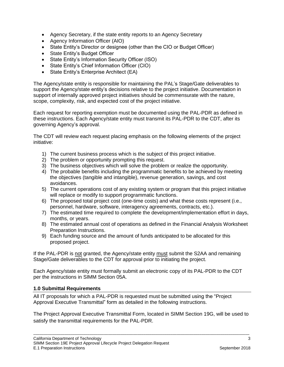- Agency Secretary, if the state entity reports to an Agency Secretary
- Agency Information Officer (AIO)
- State Entity's Director or designee (other than the CIO or Budget Officer)
- State Entity's Budget Officer
- State Entity's Information Security Officer (ISO)
- State Entity's Chief Information Officer (CIO)
- State Entity's Enterprise Architect (EA)

The Agency/state entity is responsible for maintaining the PAL's Stage/Gate deliverables to support the Agency/state entity's decisions relative to the project initiative. Documentation in support of internally approved project initiatives should be commensurate with the nature, scope, complexity, risk, and expected cost of the project initiative.

Each request for reporting exemption must be documented using the PAL-PDR as defined in these instructions. Each Agency/state entity must transmit its PAL-PDR to the CDT, after its governing Agency's approval.

The CDT will review each request placing emphasis on the following elements of the project initiative:

- 1) The current business process which is the subject of this project initiative.
- 2) The problem or opportunity prompting this request.
- 3) The business objectives which will solve the problem or realize the opportunity.
- 4) The probable benefits including the programmatic benefits to be achieved by meeting the objectives (tangible and intangible), revenue generation, savings, and cost avoidances.
- 5) The current operations cost of any existing system or program that this project initiative will replace or modify to support programmatic functions.
- 6) The proposed total project cost (one-time costs) and what these costs represent (i.e., personnel, hardware, software, interagency agreements, contracts, etc.).
- 7) The estimated time required to complete the development/implementation effort in days, months, or years.
- 8) The estimated annual cost of operations as defined in the Financial Analysis Worksheet Preparation Instructions.
- 9) Each funding source and the amount of funds anticipated to be allocated for this proposed project.

If the PAL-PDR is not granted, the Agency/state entity must submit the S2AA and remaining Stage/Gate deliverables to the CDT for approval prior to initiating the project.

Each Agency/state entity must formally submit an electronic copy of its PAL-PDR to the CDT per the instructions in SIMM Section 05A.

# <span id="page-3-0"></span>**1.0 Submittal Requirements**

All IT proposals for which a PAL-PDR is requested must be submitted using the "Project Approval Executive Transmittal" form as detailed in the following instructions.

The Project Approval Executive Transmittal Form, located in SIMM Section 19G, will be used to satisfy the transmittal requirements for the PAL-PDR.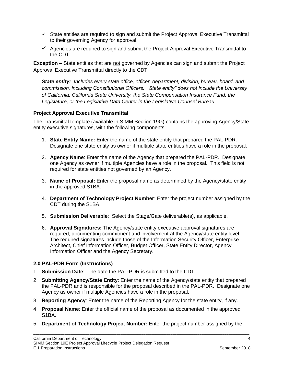- $\checkmark$  State entities are required to sign and submit the Project Approval Executive Transmittal to their governing Agency for approval.
- $\checkmark$  Agencies are required to sign and submit the Project Approval Executive Transmittal to the CDT.

**Exception –** State entities that are not governed by Agencies can sign and submit the Project Approval Executive Transmittal directly to the CDT.

*State entity: Includes every state office, officer, department, division, bureau, board, and commission, including Constitutional Officers. "State entity" does not include the University of California, California State University, the State Compensation Insurance Fund, the Legislature, or the Legislative Data Center in the Legislative Counsel Bureau.* 

# **Project Approval Executive Transmittal**

The Transmittal template (available in SIMM Section 19G) contains the approving Agency/State entity executive signatures, with the following components:

- 1. **State Entity Name:** Enter the name of the state entity that prepared the PAL-PDR. Designate one state entity as owner if multiple state entities have a role in the proposal.
- 2. **Agency Name**: Enter the name of the Agency that prepared the PAL-PDR. Designate one Agency as owner if multiple Agencies have a role in the proposal. This field is not required for state entities not governed by an Agency.
- 3. **Name of Proposal:** Enter the proposal name as determined by the Agency/state entity in the approved S1BA.
- 4. **Department of Technology Project Number**: Enter the project number assigned by the CDT during the S1BA.
- 5. **Submission Deliverable**: Select the Stage/Gate deliverable(s), as applicable.
- 6. **Approval Signatures:** The Agency/state entity executive approval signatures are required, documenting commitment and involvement at the Agency/state entity level. The required signatures include those of the Information Security Officer, Enterprise Architect, Chief Information Officer, Budget Officer, State Entity Director, Agency Information Officer and the Agency Secretary.

# <span id="page-4-0"></span>**2.0 PAL-PDR Form (Instructions)**

- 1. **Submission Date**: The date the PAL-PDR is submitted to the CDT.
- 2. **Submitting Agency/State Entity**: Enter the name of the Agency/state entity that prepared the PAL-PDR and is responsible for the proposal described in the PAL-PDR. Designate one Agency as owner if multiple Agencies have a role in the proposal.
- 3. **Reporting Agency**: Enter the name of the Reporting Agency for the state entity, if any.
- 4. **Proposal Name**: Enter the official name of the proposal as documented in the approved S1BA.
- 5. **Department of Technology Project Number:** Enter the project number assigned by the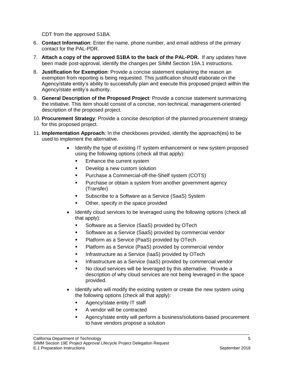CDT from the approved S1BA.

- 6. **Contact Information**: Enter the name, phone number, and email address of the primary contact for the PAL-PDR.
- 7. **Attach a copy of the approved S1BA to the back of the PAL-PDR.** If any updates have been made post-approval, identify the changes per SIMM Section 19A.1 instructions.
- 8. **Justification for Exemption**: Provide a concise statement explaining the reason an exemption from reporting is being requested. This justification should elaborate on the Agency/state entity's ability to successfully plan and execute this proposed project within the Agency/state entity's authority.
- 9. **General Description of the Proposed Project**: Provide a concise statement summarizing the initiative. This item should consist of a concise, non-technical, management-oriented description of the proposed project.
- 10. **Procurement Strategy**: Provide a concise description of the planned procurement strategy for this proposed project.
- 11. **Implementation Approach**: In the checkboxes provided, identify the approach(es) to be used to implement the alternative.
	- Identify the type of existing IT system enhancement or new system proposed using the following options (check all that apply):
		- **Enhance the current system**
		- **Develop a new custom solution**
		- **Purchase a Commercial-off-the-Shelf system (COTS)**
		- Purchase or obtain a system from another government agency (Transfer)
		- **Subscribe to a Software as a Service (SaaS) System**
		- Other, specify in the space provided
	- Identify cloud services to be leveraged using the following options (check all that apply):
		- **Software as a Service (SaaS) provided by OTech**
		- **Software as a Service (SaaS) provided by commercial vendor**
		- **Platform as a Service (PaaS) provided by OTech**
		- **Platform as a Service (PaaS) provided by commercial vendor**
		- **Infrastructure as a Service (IaaS) provided by OTech**
		- **Infrastructure as a Service (IaaS) provided by commercial vendor**
		- No cloud services will be leveraged by this alternative. Provide a description of why cloud services are not being leveraged in the space provided.
	- Identify who will modify the existing system or create the new system using the following options (check all that apply):
		- Agency/state entity IT staff
		- A vendor will be contracted
		- Agency/state entity will perform a business/solutions-based procurement to have vendors propose a solution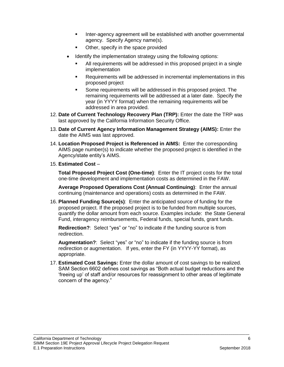- **Inter-agency agreement will be established with another governmental** agency. Specify Agency name(s).
- Other, specify in the space provided
- Identify the implementation strategy using the following options:
	- All requirements will be addressed in this proposed project in a single implementation
	- Requirements will be addressed in incremental implementations in this proposed project
	- Some requirements will be addressed in this proposed project. The remaining requirements will be addressed at a later date. Specify the year (in YYYY format) when the remaining requirements will be addressed in area provided.
- 12. **Date of Current Technology Recovery Plan (TRP):** Enter the date the TRP was last approved by the California Information Security Office.
- 13. **Date of Current Agency Information Management Strategy (AIMS):** Enter the date the AIMS was last approved.
- 14. **Location Proposed Project is Referenced in AIMS:** Enter the corresponding AIMS page number(s) to indicate whether the proposed project is identified in the Agency/state entity's AIMS.
- 15. **Estimated Cost** –

**Total Proposed Project Cost (One-time)**: Enter the IT project costs for the total one-time development and implementation costs as determined in the FAW.

**Average Proposed Operations Cost (Annual Continuing)**: Enter the annual continuing (maintenance and operations) costs as determined in the FAW.

16. **Planned Funding Source(s)**: Enter the anticipated source of funding for the proposed project. If the proposed project is to be funded from multiple sources, quantify the dollar amount from each source. Examples include: the State General Fund, interagency reimbursements, Federal funds, special funds, grant funds.

**Redirection?**: Select "yes" or "no" to indicate if the funding source is from redirection.

**Augmentation?**: Select "yes" or "no" to indicate if the funding source is from redirection or augmentation. If yes, enter the FY (in YYYY-YY format), as appropriate.

17. **Estimated Cost Savings:** Enter the dollar amount of cost savings to be realized. SAM Section 6602 defines cost savings as "Both actual budget reductions and the 'freeing up' of staff and/or resources for reassignment to other areas of legitimate concern of the agency."